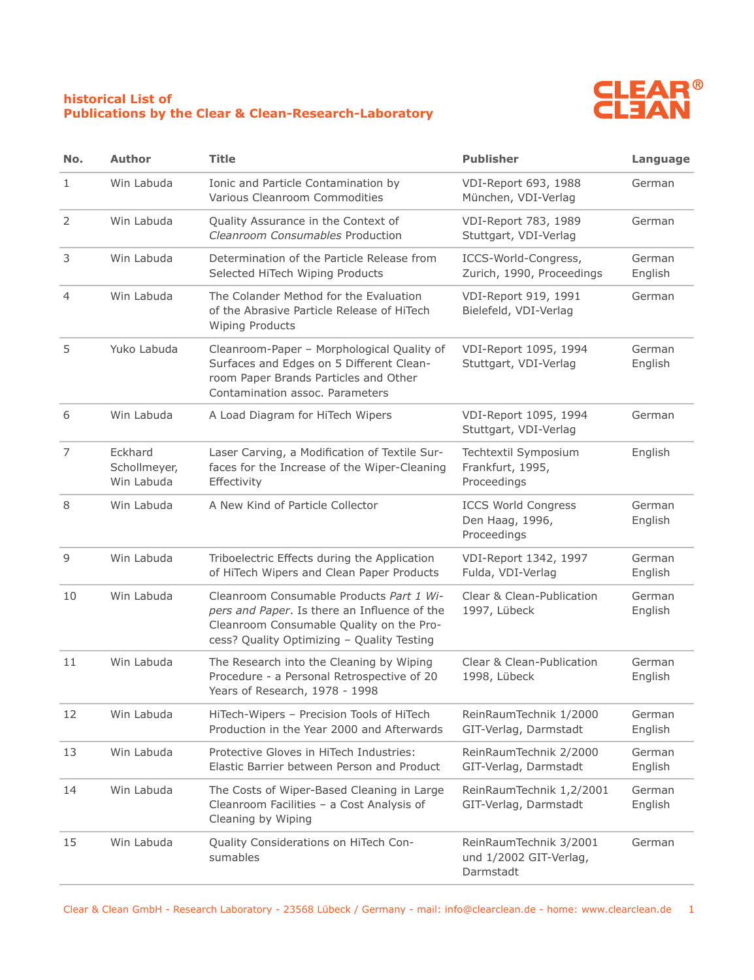## **historical List of Publications by the Clear & Clean-Research-Laboratory**



| No.            | <b>Author</b>                         | <b>Title</b>                                                                                                                                                                       | <b>Publisher</b>                                              | Language          |
|----------------|---------------------------------------|------------------------------------------------------------------------------------------------------------------------------------------------------------------------------------|---------------------------------------------------------------|-------------------|
| 1              | Win Labuda                            | Ionic and Particle Contamination by<br>Various Cleanroom Commodities                                                                                                               | VDI-Report 693, 1988<br>München, VDI-Verlag                   | German            |
| $\overline{2}$ | Win Labuda                            | Quality Assurance in the Context of<br>Cleanroom Consumables Production                                                                                                            | VDI-Report 783, 1989<br>Stuttgart, VDI-Verlag                 | German            |
| 3              | Win Labuda                            | Determination of the Particle Release from<br>Selected HiTech Wiping Products                                                                                                      | ICCS-World-Congress,<br>Zurich, 1990, Proceedings             | German<br>English |
| 4              | Win Labuda                            | The Colander Method for the Evaluation<br>of the Abrasive Particle Release of HiTech<br><b>Wiping Products</b>                                                                     | VDI-Report 919, 1991<br>Bielefeld, VDI-Verlag                 | German            |
| 5              | Yuko Labuda                           | Cleanroom-Paper - Morphological Quality of<br>Surfaces and Edges on 5 Different Clean-<br>room Paper Brands Particles and Other<br>Contamination assoc. Parameters                 | VDI-Report 1095, 1994<br>Stuttgart, VDI-Verlag                | German<br>English |
| 6              | Win Labuda                            | A Load Diagram for HiTech Wipers                                                                                                                                                   | VDI-Report 1095, 1994<br>Stuttgart, VDI-Verlag                | German            |
| 7              | Eckhard<br>Schollmeyer,<br>Win Labuda | Laser Carving, a Modification of Textile Sur-<br>faces for the Increase of the Wiper-Cleaning<br>Effectivity                                                                       | Techtextil Symposium<br>Frankfurt, 1995,<br>Proceedings       | English           |
| 8              | Win Labuda                            | A New Kind of Particle Collector                                                                                                                                                   | <b>ICCS World Congress</b><br>Den Haag, 1996,<br>Proceedings  | German<br>English |
| 9              | Win Labuda                            | Triboelectric Effects during the Application<br>of HiTech Wipers and Clean Paper Products                                                                                          | VDI-Report 1342, 1997<br>Fulda, VDI-Verlag                    | German<br>English |
| 10             | Win Labuda                            | Cleanroom Consumable Products Part 1 Wi-<br>pers and Paper. Is there an Influence of the<br>Cleanroom Consumable Quality on the Pro-<br>cess? Quality Optimizing - Quality Testing | Clear & Clean-Publication<br>1997, Lübeck                     | German<br>English |
| 11             | Win Labuda                            | The Research into the Cleaning by Wiping<br>Procedure - a Personal Retrospective of 20<br>Years of Research, 1978 - 1998                                                           | Clear & Clean-Publication<br>1998, Lübeck                     | German<br>English |
| 12             | Win Labuda                            | HiTech-Wipers - Precision Tools of HiTech<br>Production in the Year 2000 and Afterwards                                                                                            | ReinRaumTechnik 1/2000<br>GIT-Verlag, Darmstadt               | German<br>English |
| 13             | Win Labuda                            | Protective Gloves in HiTech Industries:<br>Elastic Barrier between Person and Product                                                                                              | ReinRaumTechnik 2/2000<br>GIT-Verlag, Darmstadt               | German<br>English |
| 14             | Win Labuda                            | The Costs of Wiper-Based Cleaning in Large<br>Cleanroom Facilities - a Cost Analysis of<br>Cleaning by Wiping                                                                      | ReinRaumTechnik 1,2/2001<br>GIT-Verlag, Darmstadt             | German<br>English |
| 15             | Win Labuda                            | Quality Considerations on HiTech Con-<br>sumables                                                                                                                                  | ReinRaumTechnik 3/2001<br>und 1/2002 GIT-Verlag,<br>Darmstadt | German            |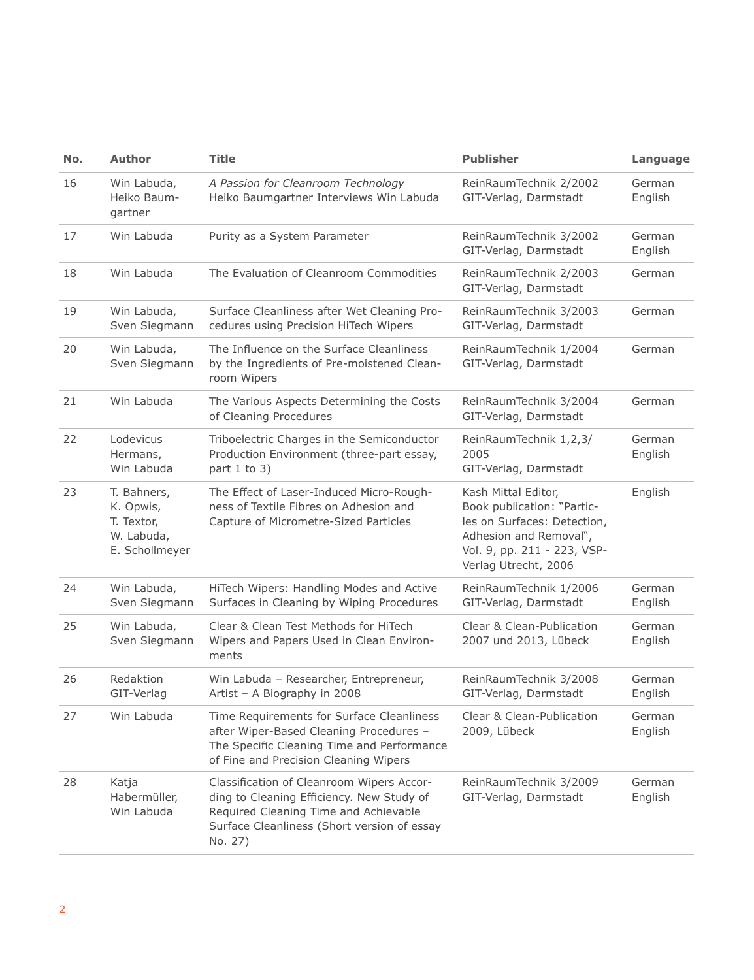| No. | <b>Author</b>                                                          | <b>Title</b>                                                                                                                                                                              | <b>Publisher</b>                                                                                                                                                  | Language          |
|-----|------------------------------------------------------------------------|-------------------------------------------------------------------------------------------------------------------------------------------------------------------------------------------|-------------------------------------------------------------------------------------------------------------------------------------------------------------------|-------------------|
| 16  | Win Labuda,<br>Heiko Baum-<br>gartner                                  | A Passion for Cleanroom Technology<br>Heiko Baumgartner Interviews Win Labuda                                                                                                             | ReinRaumTechnik 2/2002<br>GIT-Verlag, Darmstadt                                                                                                                   | German<br>English |
| 17  | Win Labuda                                                             | Purity as a System Parameter                                                                                                                                                              | ReinRaumTechnik 3/2002<br>GIT-Verlag, Darmstadt                                                                                                                   | German<br>English |
| 18  | Win Labuda                                                             | The Evaluation of Cleanroom Commodities                                                                                                                                                   | ReinRaumTechnik 2/2003<br>GIT-Verlag, Darmstadt                                                                                                                   | German            |
| 19  | Win Labuda,<br>Sven Siegmann                                           | Surface Cleanliness after Wet Cleaning Pro-<br>cedures using Precision HiTech Wipers                                                                                                      | ReinRaumTechnik 3/2003<br>GIT-Verlag, Darmstadt                                                                                                                   | German            |
| 20  | Win Labuda,<br>Sven Siegmann                                           | The Influence on the Surface Cleanliness<br>by the Ingredients of Pre-moistened Clean-<br>room Wipers                                                                                     | ReinRaumTechnik 1/2004<br>GIT-Verlag, Darmstadt                                                                                                                   | German            |
| 21  | Win Labuda                                                             | The Various Aspects Determining the Costs<br>of Cleaning Procedures                                                                                                                       | ReinRaumTechnik 3/2004<br>GIT-Verlag, Darmstadt                                                                                                                   | German            |
| 22  | Lodevicus<br>Hermans,<br>Win Labuda                                    | Triboelectric Charges in the Semiconductor<br>Production Environment (three-part essay,<br>part $1$ to $3)$                                                                               | ReinRaumTechnik 1,2,3/<br>2005<br>GIT-Verlag, Darmstadt                                                                                                           | German<br>English |
| 23  | T. Bahners,<br>K. Opwis,<br>T. Textor,<br>W. Labuda,<br>E. Schollmeyer | The Effect of Laser-Induced Micro-Rough-<br>ness of Textile Fibres on Adhesion and<br>Capture of Micrometre-Sized Particles                                                               | Kash Mittal Editor,<br>Book publication: "Partic-<br>les on Surfaces: Detection,<br>Adhesion and Removal",<br>Vol. 9, pp. 211 - 223, VSP-<br>Verlag Utrecht, 2006 | English           |
| 24  | Win Labuda,<br>Sven Siegmann                                           | HiTech Wipers: Handling Modes and Active<br>Surfaces in Cleaning by Wiping Procedures                                                                                                     | ReinRaumTechnik 1/2006<br>GIT-Verlag, Darmstadt                                                                                                                   | German<br>English |
| 25  | Win Labuda,<br>Sven Siegmann                                           | Clear & Clean Test Methods for HiTech<br>Wipers and Papers Used in Clean Environ-<br>ments                                                                                                | Clear & Clean-Publication<br>2007 und 2013, Lübeck                                                                                                                | German<br>English |
| 26  | Redaktion<br>GIT-Verlag                                                | Win Labuda - Researcher, Entrepreneur,<br>Artist - A Biography in 2008                                                                                                                    | ReinRaumTechnik 3/2008<br>GIT-Verlag, Darmstadt                                                                                                                   | German<br>English |
| 27  | Win Labuda                                                             | Time Requirements for Surface Cleanliness<br>after Wiper-Based Cleaning Procedures -<br>The Specific Cleaning Time and Performance<br>of Fine and Precision Cleaning Wipers               | Clear & Clean-Publication<br>2009, Lübeck                                                                                                                         | German<br>English |
| 28  | Katja<br>Habermüller,<br>Win Labuda                                    | Classification of Cleanroom Wipers Accor-<br>ding to Cleaning Efficiency. New Study of<br>Required Cleaning Time and Achievable<br>Surface Cleanliness (Short version of essay<br>No. 27) | ReinRaumTechnik 3/2009<br>GIT-Verlag, Darmstadt                                                                                                                   | German<br>English |